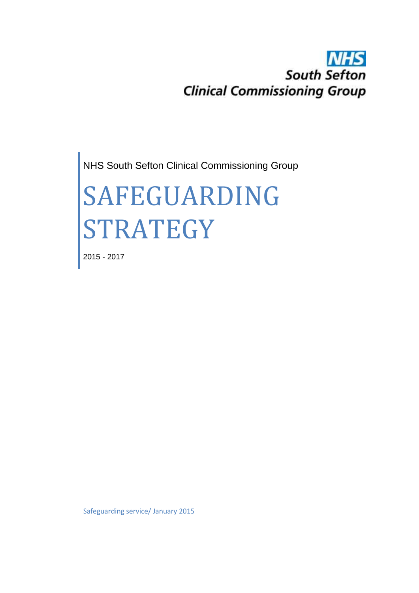## **NHS South Sefton Clinical Commissioning Group**

NHS South Sefton Clinical Commissioning Group

# SAFEGUARDING STRATEGY

2015 - 2017

Safeguarding service/ January 2015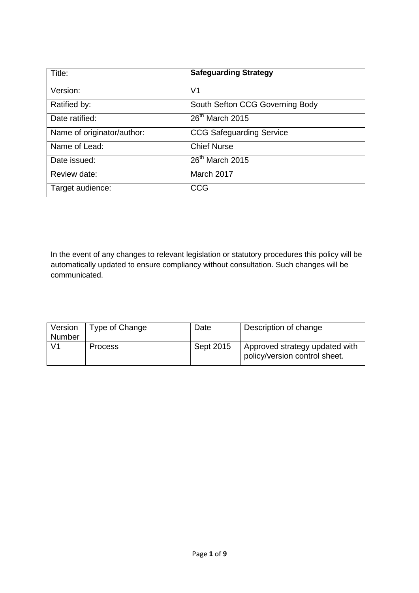| Title:                     | <b>Safeguarding Strategy</b>    |  |
|----------------------------|---------------------------------|--|
| Version:                   | V <sub>1</sub>                  |  |
| Ratified by:               | South Sefton CCG Governing Body |  |
| Date ratified:             | $26th$ March 2015               |  |
| Name of originator/author: | <b>CCG Safeguarding Service</b> |  |
| Name of Lead:              | <b>Chief Nurse</b>              |  |
| Date issued:               | 26 <sup>th</sup> March 2015     |  |
| Review date:               | March 2017                      |  |
| Target audience:           | <b>CCG</b>                      |  |

In the event of any changes to relevant legislation or statutory procedures this policy will be automatically updated to ensure compliancy without consultation. Such changes will be communicated.

| Version<br>Number | Type of Change | Date      | Description of change                                           |
|-------------------|----------------|-----------|-----------------------------------------------------------------|
| V1                | <b>Process</b> | Sept 2015 | Approved strategy updated with<br>policy/version control sheet. |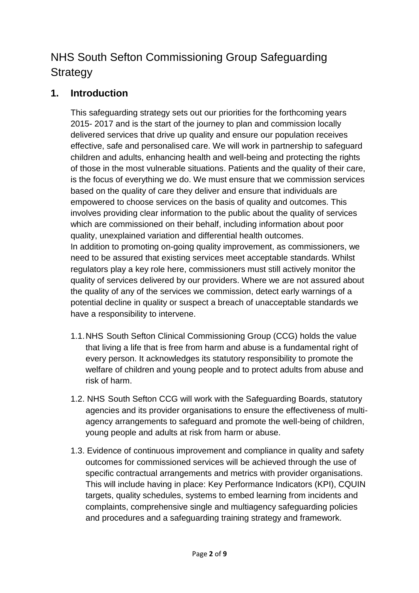### NHS South Sefton Commissioning Group Safeguarding **Strategy**

#### **1. Introduction**

This safeguarding strategy sets out our priorities for the forthcoming years 2015- 2017 and is the start of the journey to plan and commission locally delivered services that drive up quality and ensure our population receives effective, safe and personalised care. We will work in partnership to safeguard children and adults, enhancing health and well-being and protecting the rights of those in the most vulnerable situations. Patients and the quality of their care, is the focus of everything we do. We must ensure that we commission services based on the quality of care they deliver and ensure that individuals are empowered to choose services on the basis of quality and outcomes. This involves providing clear information to the public about the quality of services which are commissioned on their behalf, including information about poor quality, unexplained variation and differential health outcomes. In addition to promoting on-going quality improvement, as commissioners, we need to be assured that existing services meet acceptable standards. Whilst regulators play a key role here, commissioners must still actively monitor the quality of services delivered by our providers. Where we are not assured about the quality of any of the services we commission, detect early warnings of a potential decline in quality or suspect a breach of unacceptable standards we have a responsibility to intervene.

- 1.1.NHS South Sefton Clinical Commissioning Group (CCG) holds the value that living a life that is free from harm and abuse is a fundamental right of every person. It acknowledges its statutory responsibility to promote the welfare of children and young people and to protect adults from abuse and risk of harm.
- 1.2. NHS South Sefton CCG will work with the Safeguarding Boards, statutory agencies and its provider organisations to ensure the effectiveness of multiagency arrangements to safeguard and promote the well-being of children, young people and adults at risk from harm or abuse.
- 1.3. Evidence of continuous improvement and compliance in quality and safety outcomes for commissioned services will be achieved through the use of specific contractual arrangements and metrics with provider organisations. This will include having in place: Key Performance Indicators (KPI), CQUIN targets, quality schedules, systems to embed learning from incidents and complaints, comprehensive single and multiagency safeguarding policies and procedures and a safeguarding training strategy and framework.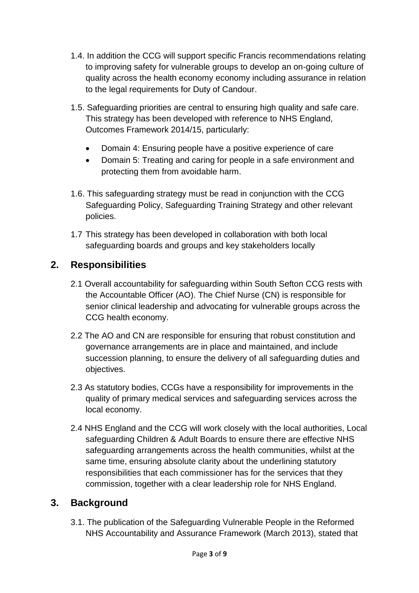- 1.4. In addition the CCG will support specific Francis recommendations relating to improving safety for vulnerable groups to develop an on-going culture of quality across the health economy economy including assurance in relation to the legal requirements for Duty of Candour.
- 1.5. Safeguarding priorities are central to ensuring high quality and safe care. This strategy has been developed with reference to NHS England, Outcomes Framework 2014/15, particularly:
	- Domain 4: Ensuring people have a positive experience of care
	- Domain 5: Treating and caring for people in a safe environment and protecting them from avoidable harm.
- 1.6. This safeguarding strategy must be read in conjunction with the CCG Safeguarding Policy, Safeguarding Training Strategy and other relevant policies.
- 1.7 This strategy has been developed in collaboration with both local safeguarding boards and groups and key stakeholders locally

#### **2. Responsibilities**

- 2.1 Overall accountability for safeguarding within South Sefton CCG rests with the Accountable Officer (AO). The Chief Nurse (CN) is responsible for senior clinical leadership and advocating for vulnerable groups across the CCG health economy.
- 2.2 The AO and CN are responsible for ensuring that robust constitution and governance arrangements are in place and maintained, and include succession planning, to ensure the delivery of all safeguarding duties and objectives.
- 2.3 As statutory bodies, CCGs have a responsibility for improvements in the quality of primary medical services and safeguarding services across the local economy.
- 2.4 NHS England and the CCG will work closely with the local authorities, Local safeguarding Children & Adult Boards to ensure there are effective NHS safeguarding arrangements across the health communities, whilst at the same time, ensuring absolute clarity about the underlining statutory responsibilities that each commissioner has for the services that they commission, together with a clear leadership role for NHS England.

#### **3. Background**

3.1. The publication of the Safeguarding Vulnerable People in the Reformed NHS Accountability and Assurance Framework (March 2013), stated that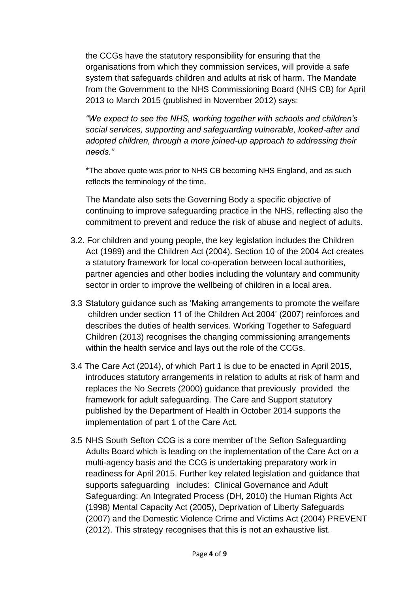the CCGs have the statutory responsibility for ensuring that the organisations from which they commission services, will provide a safe system that safeguards children and adults at risk of harm. The Mandate from the Government to the NHS Commissioning Board (NHS CB) for April 2013 to March 2015 (published in November 2012) says:

*"We expect to see the NHS, working together with schools and children's social services, supporting and safeguarding vulnerable, looked-after and adopted children, through a more joined-up approach to addressing their needs."*

\*The above quote was prior to NHS CB becoming NHS England, and as such reflects the terminology of the time.

The Mandate also sets the Governing Body a specific objective of continuing to improve safeguarding practice in the NHS, reflecting also the commitment to prevent and reduce the risk of abuse and neglect of adults.

- 3.2. For children and young people, the key legislation includes the Children Act (1989) and the Children Act (2004). Section 10 of the 2004 Act creates a statutory framework for local co-operation between local authorities, partner agencies and other bodies including the voluntary and community sector in order to improve the wellbeing of children in a local area.
- 3.3 Statutory guidance such as 'Making arrangements to promote the welfare children under section 11 of the Children Act 2004' (2007) reinforces and describes the duties of health services. Working Together to Safeguard Children (2013) recognises the changing commissioning arrangements within the health service and lays out the role of the CCGs.
- 3.4 The Care Act (2014), of which Part 1 is due to be enacted in April 2015, introduces statutory arrangements in relation to adults at risk of harm and replaces the No Secrets (2000) guidance that previously provided the framework for adult safeguarding. The Care and Support statutory published by the Department of Health in October 2014 supports the implementation of part 1 of the Care Act.
- 3.5 NHS South Sefton CCG is a core member of the Sefton Safeguarding Adults Board which is leading on the implementation of the Care Act on a multi-agency basis and the CCG is undertaking preparatory work in readiness for April 2015. Further key related legislation and guidance that supports safeguarding includes: Clinical Governance and Adult Safeguarding: An Integrated Process (DH, 2010) the Human Rights Act (1998) Mental Capacity Act (2005), Deprivation of Liberty Safeguards (2007) and the Domestic Violence Crime and Victims Act (2004) PREVENT (2012). This strategy recognises that this is not an exhaustive list.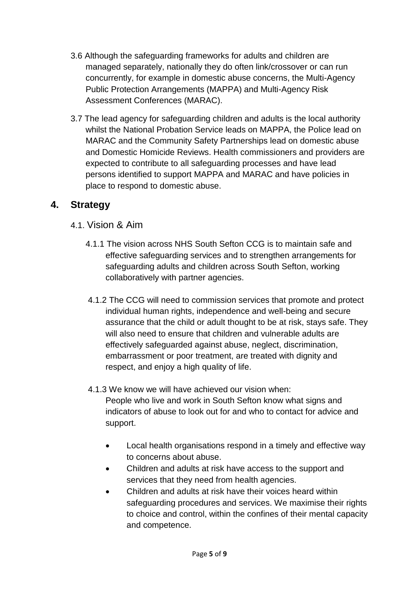- 3.6 Although the safeguarding frameworks for adults and children are managed separately, nationally they do often link/crossover or can run concurrently, for example in domestic abuse concerns, the Multi-Agency Public Protection Arrangements (MAPPA) and Multi-Agency Risk Assessment Conferences (MARAC).
- 3.7 The lead agency for safeguarding children and adults is the local authority whilst the National Probation Service leads on MAPPA, the Police lead on MARAC and the Community Safety Partnerships lead on domestic abuse and Domestic Homicide Reviews. Health commissioners and providers are expected to contribute to all safeguarding processes and have lead persons identified to support MAPPA and MARAC and have policies in place to respond to domestic abuse.

#### **4. Strategy**

- 4.1. Vision & Aim
	- 4.1.1 The vision across NHS South Sefton CCG is to maintain safe and effective safeguarding services and to strengthen arrangements for safeguarding adults and children across South Sefton, working collaboratively with partner agencies.
	- 4.1.2 The CCG will need to commission services that promote and protect individual human rights, independence and well-being and secure assurance that the child or adult thought to be at risk, stays safe. They will also need to ensure that children and vulnerable adults are effectively safeguarded against abuse, neglect, discrimination, embarrassment or poor treatment, are treated with dignity and respect, and enjoy a high quality of life.
	- 4.1.3 We know we will have achieved our vision when: People who live and work in South Sefton know what signs and indicators of abuse to look out for and who to contact for advice and support.
		- Local health organisations respond in a timely and effective way to concerns about abuse.
		- Children and adults at risk have access to the support and services that they need from health agencies.
		- Children and adults at risk have their voices heard within safeguarding procedures and services. We maximise their rights to choice and control, within the confines of their mental capacity and competence.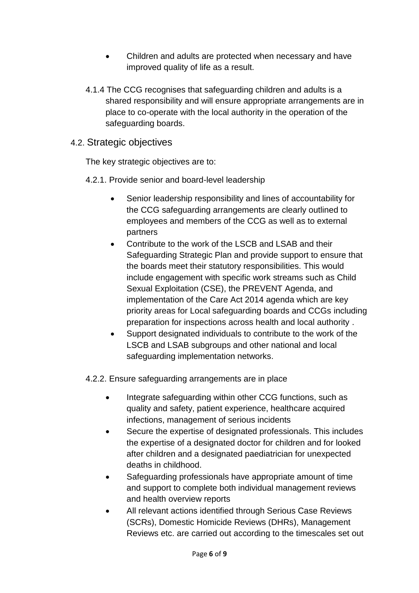- Children and adults are protected when necessary and have improved quality of life as a result.
- 4.1.4 The CCG recognises that safeguarding children and adults is a shared responsibility and will ensure appropriate arrangements are in place to co-operate with the local authority in the operation of the safeguarding boards.
- 4.2. Strategic objectives

The key strategic objectives are to:

- 4.2.1. Provide senior and board-level leadership
	- Senior leadership responsibility and lines of accountability for the CCG safeguarding arrangements are clearly outlined to employees and members of the CCG as well as to external partners
	- Contribute to the work of the LSCB and LSAB and their Safeguarding Strategic Plan and provide support to ensure that the boards meet their statutory responsibilities. This would include engagement with specific work streams such as Child Sexual Exploitation (CSE), the PREVENT Agenda, and implementation of the Care Act 2014 agenda which are key priority areas for Local safeguarding boards and CCGs including preparation for inspections across health and local authority .
	- Support designated individuals to contribute to the work of the LSCB and LSAB subgroups and other national and local safeguarding implementation networks.
- 4.2.2. Ensure safeguarding arrangements are in place
	- Integrate safeguarding within other CCG functions, such as quality and safety, patient experience, healthcare acquired infections, management of serious incidents
	- Secure the expertise of designated professionals. This includes the expertise of a designated doctor for children and for looked after children and a designated paediatrician for unexpected deaths in childhood.
	- Safeguarding professionals have appropriate amount of time and support to complete both individual management reviews and health overview reports
	- All relevant actions identified through Serious Case Reviews (SCRs), Domestic Homicide Reviews (DHRs), Management Reviews etc. are carried out according to the timescales set out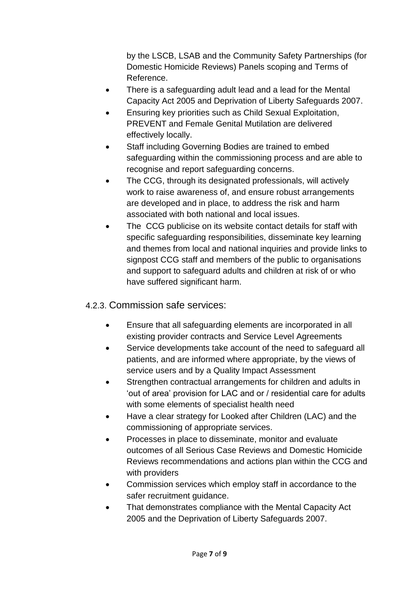by the LSCB, LSAB and the Community Safety Partnerships (for Domestic Homicide Reviews) Panels scoping and Terms of Reference.

- There is a safeguarding adult lead and a lead for the Mental Capacity Act 2005 and Deprivation of Liberty Safeguards 2007.
- Ensuring key priorities such as Child Sexual Exploitation, PREVENT and Female Genital Mutilation are delivered effectively locally.
- **•** Staff including Governing Bodies are trained to embed safeguarding within the commissioning process and are able to recognise and report safeguarding concerns.
- The CCG, through its designated professionals, will actively work to raise awareness of, and ensure robust arrangements are developed and in place, to address the risk and harm associated with both national and local issues.
- The CCG publicise on its website contact details for staff with specific safeguarding responsibilities, disseminate key learning and themes from local and national inquiries and provide links to signpost CCG staff and members of the public to organisations and support to safeguard adults and children at risk of or who have suffered significant harm.

#### 4.2.3. Commission safe services:

- Ensure that all safeguarding elements are incorporated in all existing provider contracts and Service Level Agreements
- Service developments take account of the need to safeguard all patients, and are informed where appropriate, by the views of service users and by a Quality Impact Assessment
- Strengthen contractual arrangements for children and adults in 'out of area' provision for LAC and or / residential care for adults with some elements of specialist health need
- Have a clear strategy for Looked after Children (LAC) and the commissioning of appropriate services.
- Processes in place to disseminate, monitor and evaluate outcomes of all Serious Case Reviews and Domestic Homicide Reviews recommendations and actions plan within the CCG and with providers
- Commission services which employ staff in accordance to the safer recruitment guidance.
- That demonstrates compliance with the Mental Capacity Act 2005 and the Deprivation of Liberty Safeguards 2007.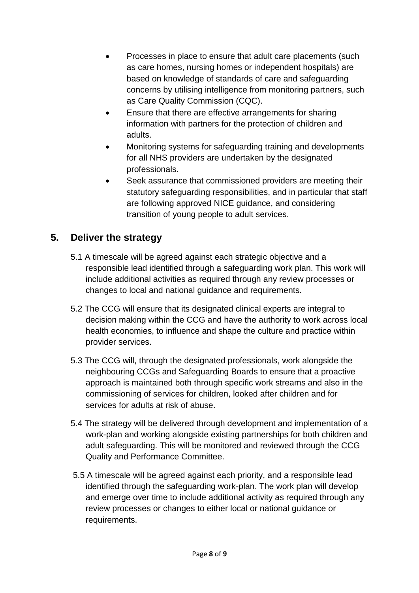- Processes in place to ensure that adult care placements (such as care homes, nursing homes or independent hospitals) are based on knowledge of standards of care and safeguarding concerns by utilising intelligence from monitoring partners, such as Care Quality Commission (CQC).
- Ensure that there are effective arrangements for sharing information with partners for the protection of children and adults.
- Monitoring systems for safeguarding training and developments for all NHS providers are undertaken by the designated professionals.
- Seek assurance that commissioned providers are meeting their statutory safeguarding responsibilities, and in particular that staff are following approved NICE guidance, and considering transition of young people to adult services.

#### **5. Deliver the strategy**

- 5.1 A timescale will be agreed against each strategic objective and a responsible lead identified through a safeguarding work plan. This work will include additional activities as required through any review processes or changes to local and national guidance and requirements.
- 5.2 The CCG will ensure that its designated clinical experts are integral to decision making within the CCG and have the authority to work across local health economies, to influence and shape the culture and practice within provider services.
- 5.3 The CCG will, through the designated professionals, work alongside the neighbouring CCGs and Safeguarding Boards to ensure that a proactive approach is maintained both through specific work streams and also in the commissioning of services for children, looked after children and for services for adults at risk of abuse.
- 5.4 The strategy will be delivered through development and implementation of a work-plan and working alongside existing partnerships for both children and adult safeguarding. This will be monitored and reviewed through the CCG Quality and Performance Committee.
- 5.5 A timescale will be agreed against each priority, and a responsible lead identified through the safeguarding work-plan. The work plan will develop and emerge over time to include additional activity as required through any review processes or changes to either local or national guidance or requirements.